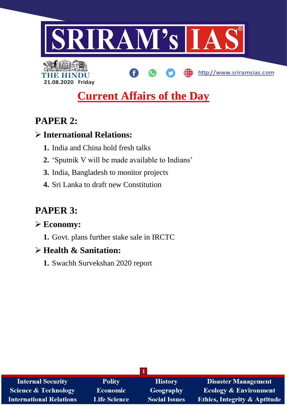

http://www.sriramsias.com



# **Current Affairs of the Day**

## **PAPER 2:**

## **International Relations:**

- **1.** India and China hold fresh talks
- **2.** 'Sputnik V will be made available to Indians'
- **3.** India, Bangladesh to monitor projects
- **4.** Sri Lanka to draft new Constitution

# **PAPER 3:**

## **Economy:**

**1.** Govt. plans further stake sale in IRCTC

## **Health & Sanitation:**

**1.** Swachh Survekshan 2020 report

| <b>Internal Security</b>       | <b>Polity</b>       | <b>History</b>       | <b>Disaster Management</b>              |
|--------------------------------|---------------------|----------------------|-----------------------------------------|
| Science & Technology           | <b>Economic</b>     | <b>Geography</b>     | <b>Ecology &amp; Environment</b>        |
| <b>International Relations</b> | <b>Life Science</b> | <b>Social Issues</b> | <b>Ethics, Integrity &amp; Aptitude</b> |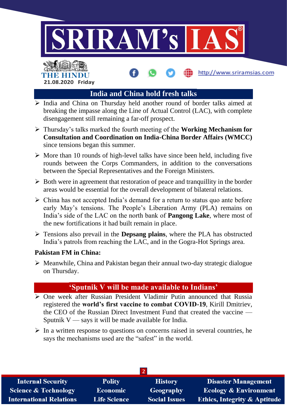

http://www.sriramsias.com

# THE HINDL **21.08.2020 Friday**

## **India and China hold fresh talks**

- $\triangleright$  India and China on Thursday held another round of border talks aimed at breaking the impasse along the Line of Actual Control (LAC), with complete disengagement still remaining a far-off prospect.
- Thursday's talks marked the fourth meeting of the **Working Mechanism for Consultation and Coordination on India-China Border Affairs (WMCC)**  since tensions began this summer.
- $\triangleright$  More than 10 rounds of high-level talks have since been held, including five rounds between the Corps Commanders, in addition to the conversations between the Special Representatives and the Foreign Ministers.
- $\triangleright$  Both were in agreement that restoration of peace and tranquillity in the border areas would be essential for the overall development of bilateral relations.
- $\triangleright$  China has not accepted India's demand for a return to status quo ante before early May's tensions. The People's Liberation Army (PLA) remains on India's side of the LAC on the north bank of **Pangong Lake**, where most of the new fortifications it had built remain in place.
- Tensions also prevail in the **Depsang plains**, where the PLA has obstructed India's patrols from reaching the LAC, and in the Gogra-Hot Springs area.

## **Pakistan FM in China:**

 $\triangleright$  Meanwhile, China and Pakistan began their annual two-day strategic dialogue on Thursday.

## **'Sputnik V will be made available to Indians'**

- One week after Russian President Vladimir Putin announced that Russia registered the **world's first vaccine to combat COVID-19**, Kirill Dmitriev, the CEO of the Russian Direct Investment Fund that created the vaccine — Sputnik  $V$  — says it will be made available for India.
- $\triangleright$  In a written response to questions on concerns raised in several countries, he says the mechanisms used are the "safest" in the world.

| <b>Internal Security</b>        | <b>Polity</b>       | <b>History</b>       | <b>Disaster Management</b>              |
|---------------------------------|---------------------|----------------------|-----------------------------------------|
| <b>Science &amp; Technology</b> | <b>Economic</b>     | Geography            | <b>Ecology &amp; Environment</b>        |
| <b>International Relations</b>  | <b>Life Science</b> | <b>Social Issues</b> | <b>Ethics, Integrity &amp; Aptitude</b> |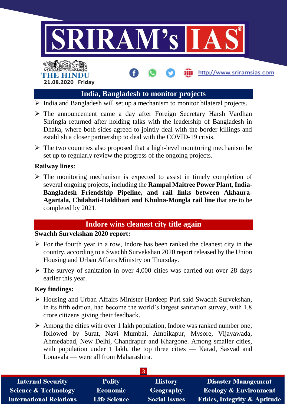

http://www.sriramsias.com

# THE HINDU **21.08.2020 Friday**

## **India, Bangladesh to monitor projects**

- $\triangleright$  India and Bangladesh will set up a mechanism to monitor bilateral projects.
- The announcement came a day after Foreign Secretary Harsh Vardhan Shringla returned after holding talks with the leadership of Bangladesh in Dhaka, where both sides agreed to jointly deal with the border killings and establish a closer partnership to deal with the COVID-19 crisis.
- $\triangleright$  The two countries also proposed that a high-level monitoring mechanism be set up to regularly review the progress of the ongoing projects.

## **Railway lines:**

 $\triangleright$  The monitoring mechanism is expected to assist in timely completion of several ongoing projects, including the **Rampal Maitree Power Plant, India-Bangladesh Friendship Pipeline, and rail links between Akhaura-Agartala, Chilahati-Haldibari and Khulna-Mongla rail line** that are to be completed by 2021.

## **Indore wins cleanest city title again**

## **Swachh Survekshan 2020 report:**

- $\triangleright$  For the fourth year in a row, Indore has been ranked the cleanest city in the country, according to a Swachh Survekshan 2020 report released by the Union Housing and Urban Affairs Ministry on Thursday.
- $\triangleright$  The survey of sanitation in over 4,000 cities was carried out over 28 days earlier this year.

## **Key findings:**

- Housing and Urban Affairs Minister Hardeep Puri said Swachh Survekshan, in its fifth edition, had become the world's largest sanitation survey, with 1.8 crore citizens giving their feedback.
- $\triangleright$  Among the cities with over 1 lakh population, Indore was ranked number one, followed by Surat, Navi Mumbai, Ambikapur, Mysore, Vijayawada, Ahmedabad, New Delhi, Chandrapur and Khargone. Among smaller cities, with population under 1 lakh, the top three cities — Karad, Sasvad and Lonavala — were all from Maharashtra.

| <b>Internal Security</b>        | <b>Polity</b>       | <b>History</b>       | <b>Disaster Management</b>              |
|---------------------------------|---------------------|----------------------|-----------------------------------------|
| <b>Science &amp; Technology</b> | <b>Economic</b>     | Geography            | <b>Ecology &amp; Environment</b>        |
| <b>International Relations</b>  | <b>Life Science</b> | <b>Social Issues</b> | <b>Ethics, Integrity &amp; Aptitude</b> |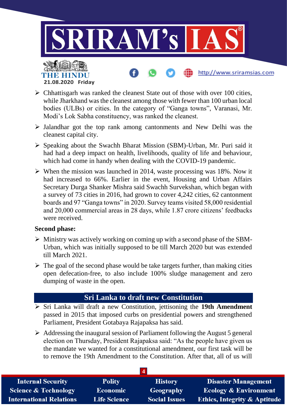

- $\triangleright$  Chhattisgarh was ranked the cleanest State out of those with over 100 cities, while Jharkhand was the cleanest among those with fewer than 100 urban local bodies (ULBs) or cities. In the category of "Ganga towns", Varanasi, Mr. Modi's Lok Sabha constituency, was ranked the cleanest.
- $\triangleright$  Jalandhar got the top rank among cantonments and New Delhi was the cleanest capital city.
- $\triangleright$  Speaking about the Swachh Bharat Mission (SBM)-Urban, Mr. Puri said it had had a deep impact on health, livelihoods, quality of life and behaviour, which had come in handy when dealing with the COVID-19 pandemic.
- $\triangleright$  When the mission was launched in 2014, waste processing was 18%. Now it had increased to 66%. Earlier in the event, Housing and Urban Affairs Secretary Durga Shanker Mishra said Swachh Survekshan, which began with a survey of 73 cities in 2016, had grown to cover 4,242 cities, 62 cantonment boards and 97 "Ganga towns" in 2020. Survey teams visited 58,000 residential and 20,000 commercial areas in 28 days, while 1.87 crore citizens' feedbacks were received.

#### **Second phase:**

- $\triangleright$  Ministry was actively working on coming up with a second phase of the SBM-Urban, which was initially supposed to be till March 2020 but was extended till March 2021.
- $\triangleright$  The goal of the second phase would be take targets further, than making cities open defecation-free, to also include 100% sludge management and zero dumping of waste in the open.

## **Sri Lanka to draft new Constitution**

- Sri Lanka will draft a new Constitution, jettisoning the **19th Amendment** passed in 2015 that imposed curbs on presidential powers and strengthened Parliament, President Gotabaya Rajapaksa has said.
- $\triangleright$  Addressing the inaugural session of Parliament following the August 5 general election on Thursday, President Rajapaksa said: "As the people have given us the mandate we wanted for a constitutional amendment, our first task will be to remove the 19th Amendment to the Constitution. After that, all of us will

| <b>Internal Security</b>       | <b>Polity</b>       | <b>History</b>       | <b>Disaster Management</b>              |
|--------------------------------|---------------------|----------------------|-----------------------------------------|
| Science & Technology           | <b>Economic</b>     | Geography            | <b>Ecology &amp; Environment</b>        |
| <b>International Relations</b> | <b>Life Science</b> | <b>Social Issues</b> | <b>Ethics, Integrity &amp; Aptitude</b> |